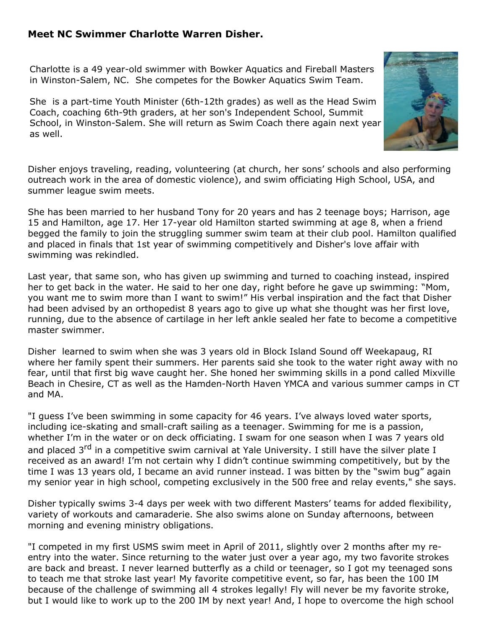## **Meet NC Swimmer Charlotte Warren Disher.**

Charlotte is a 49 year-old swimmer with Bowker Aquatics and Fireball Masters in Winston-Salem, NC. She competes for the Bowker Aquatics Swim Team.

She is a part-time Youth Minister (6th-12th grades) as well as the Head Swim Coach, coaching 6th-9th graders, at her son's Independent School, Summit School, in Winston-Salem. She will return as Swim Coach there again next year as well.



She has been married to her husband Tony for 20 years and has 2 teenage boys; Harrison, age 15 and Hamilton, age 17. Her 17-year old Hamilton started swimming at age 8, when a friend begged the family to join the struggling summer swim team at their club pool. Hamilton qualified and placed in finals that 1st year of swimming competitively and Disher's love affair with swimming was rekindled.

Last year, that same son, who has given up swimming and turned to coaching instead, inspired her to get back in the water. He said to her one day, right before he gave up swimming: "Mom, you want me to swim more than I want to swim!" His verbal inspiration and the fact that Disher had been advised by an orthopedist 8 years ago to give up what she thought was her first love, running, due to the absence of cartilage in her left ankle sealed her fate to become a competitive master swimmer.

Disher learned to swim when she was 3 years old in Block Island Sound off Weekapaug, RI where her family spent their summers. Her parents said she took to the water right away with no fear, until that first big wave caught her. She honed her swimming skills in a pond called Mixville Beach in Chesire, CT as well as the Hamden-North Haven YMCA and various summer camps in CT and MA.

"I guess I've been swimming in some capacity for 46 years. I've always loved water sports, including ice-skating and small-craft sailing as a teenager. Swimming for me is a passion, whether I'm in the water or on deck officiating. I swam for one season when I was 7 years old and placed 3<sup>rd</sup> in a competitive swim carnival at Yale University. I still have the silver plate I received as an award! I'm not certain why I didn't continue swimming competitively, but by the time I was 13 years old, I became an avid runner instead. I was bitten by the "swim bug" again my senior year in high school, competing exclusively in the 500 free and relay events," she says.

Disher typically swims 3-4 days per week with two different Masters' teams for added flexibility, variety of workouts and camaraderie. She also swims alone on Sunday afternoons, between morning and evening ministry obligations.

"I competed in my first USMS swim meet in April of 2011, slightly over 2 months after my reentry into the water. Since returning to the water just over a year ago, my two favorite strokes are back and breast. I never learned butterfly as a child or teenager, so I got my teenaged sons to teach me that stroke last year! My favorite competitive event, so far, has been the 100 IM because of the challenge of swimming all 4 strokes legally! Fly will never be my favorite stroke, but I would like to work up to the 200 IM by next year! And, I hope to overcome the high school